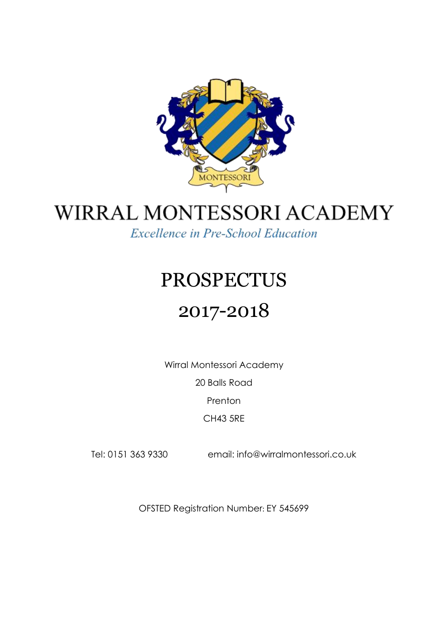

# WIRRAL MONTESSORI ACADEMY

**Excellence in Pre-School Education** 

# PROSPECTUS

# 2017-2018

Wirral Montessori Academy

20 Balls Road

**Prenton** 

CH43 5RE

Tel: 0151 363 9330 email: info@wirralmontessori.co.uk

OFSTED Registration Number: EY 545699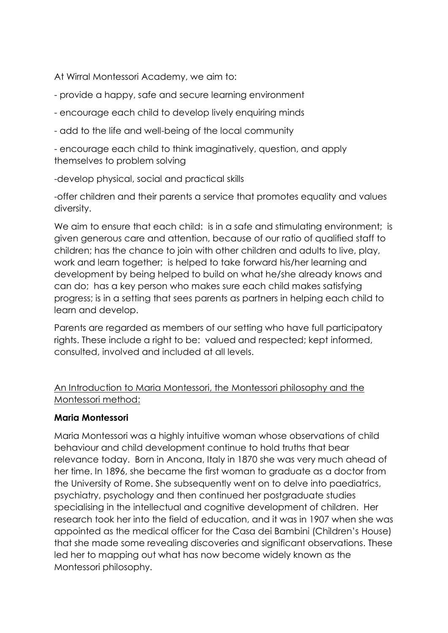At Wirral Montessori Academy, we aim to:

- provide a happy, safe and secure learning environment

- encourage each child to develop lively enquiring minds
- add to the life and well-being of the local community

- encourage each child to think imaginatively, question, and apply themselves to problem solving

-develop physical, social and practical skills

-offer children and their parents a service that promotes equality and values diversity.

We aim to ensure that each child: is in a safe and stimulating environment; is given generous care and attention, because of our ratio of qualified staff to children; has the chance to join with other children and adults to live, play, work and learn together; is helped to take forward his/her learning and development by being helped to build on what he/she already knows and can do; has a key person who makes sure each child makes satisfying progress; is in a setting that sees parents as partners in helping each child to learn and develop.

Parents are regarded as members of our setting who have full participatory rights. These include a right to be: valued and respected; kept informed, consulted, involved and included at all levels.

An Introduction to Maria Montessori, the Montessori philosophy and the Montessori method:

#### **Maria Montessori**

Maria Montessori was a highly intuitive woman whose observations of child behaviour and child development continue to hold truths that bear relevance today. Born in Ancona, Italy in 1870 she was very much ahead of her time. In 1896, she became the first woman to graduate as a doctor from the University of Rome. She subsequently went on to delve into paediatrics, psychiatry, psychology and then continued her postgraduate studies specialising in the intellectual and cognitive development of children. Her research took her into the field of education, and it was in 1907 when she was appointed as the medical officer for the Casa dei Bambini (Children's House) that she made some revealing discoveries and significant observations. These led her to mapping out what has now become widely known as the Montessori philosophy.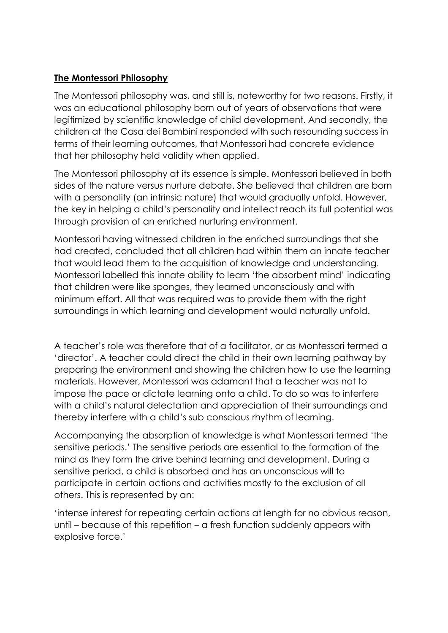#### **The Montessori Philosophy**

The Montessori philosophy was, and still is, noteworthy for two reasons. Firstly, it was an educational philosophy born out of years of observations that were legitimized by scientific knowledge of child development. And secondly, the children at the Casa dei Bambini responded with such resounding success in terms of their learning outcomes, that Montessori had concrete evidence that her philosophy held validity when applied.

The Montessori philosophy at its essence is simple. Montessori believed in both sides of the nature versus nurture debate. She believed that children are born with a personality (an intrinsic nature) that would gradually unfold. However, the key in helping a child's personality and intellect reach its full potential was through provision of an enriched nurturing environment.

Montessori having witnessed children in the enriched surroundings that she had created, concluded that all children had within them an innate teacher that would lead them to the acquisition of knowledge and understanding. Montessori labelled this innate ability to learn 'the absorbent mind' indicating that children were like sponges, they learned unconsciously and with minimum effort. All that was required was to provide them with the right surroundings in which learning and development would naturally unfold.

A teacher's role was therefore that of a facilitator, or as Montessori termed a 'director'. A teacher could direct the child in their own learning pathway by preparing the environment and showing the children how to use the learning materials. However, Montessori was adamant that a teacher was not to impose the pace or dictate learning onto a child. To do so was to interfere with a child's natural delectation and appreciation of their surroundings and thereby interfere with a child's sub conscious rhythm of learning.

Accompanying the absorption of knowledge is what Montessori termed 'the sensitive periods.' The sensitive periods are essential to the formation of the mind as they form the drive behind learning and development. During a sensitive period, a child is absorbed and has an unconscious will to participate in certain actions and activities mostly to the exclusion of all others. This is represented by an:

'intense interest for repeating certain actions at length for no obvious reason, until – because of this repetition – a fresh function suddenly appears with explosive force.'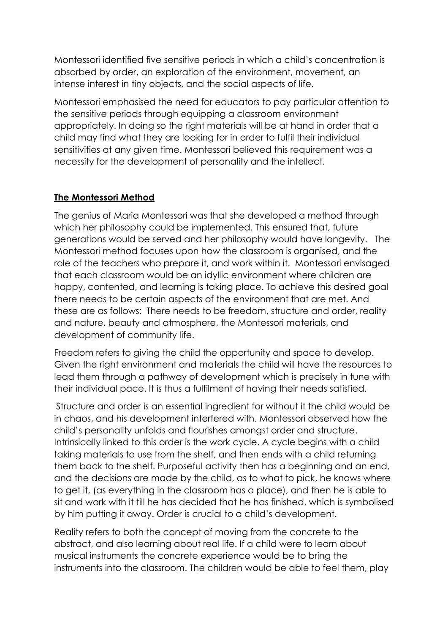Montessori identified five sensitive periods in which a child's concentration is absorbed by order, an exploration of the environment, movement, an intense interest in tiny objects, and the social aspects of life.

Montessori emphasised the need for educators to pay particular attention to the sensitive periods through equipping a classroom environment appropriately. In doing so the right materials will be at hand in order that a child may find what they are looking for in order to fulfil their individual sensitivities at any given time. Montessori believed this requirement was a necessity for the development of personality and the intellect.

# **The Montessori Method**

The genius of Maria Montessori was that she developed a method through which her philosophy could be implemented. This ensured that, future generations would be served and her philosophy would have longevity. The Montessori method focuses upon how the classroom is organised, and the role of the teachers who prepare it, and work within it. Montessori envisaged that each classroom would be an idyllic environment where children are happy, contented, and learning is taking place. To achieve this desired goal there needs to be certain aspects of the environment that are met. And these are as follows: There needs to be freedom, structure and order, reality and nature, beauty and atmosphere, the Montessori materials, and development of community life.

Freedom refers to giving the child the opportunity and space to develop. Given the right environment and materials the child will have the resources to lead them through a pathway of development which is precisely in tune with their individual pace. It is thus a fulfilment of having their needs satisfied.

Structure and order is an essential ingredient for without it the child would be in chaos, and his development interfered with. Montessori observed how the child's personality unfolds and flourishes amongst order and structure. Intrinsically linked to this order is the work cycle. A cycle begins with a child taking materials to use from the shelf, and then ends with a child returning them back to the shelf. Purposeful activity then has a beginning and an end, and the decisions are made by the child, as to what to pick, he knows where to get it, (as everything in the classroom has a place), and then he is able to sit and work with it till he has decided that he has finished, which is symbolised by him putting it away. Order is crucial to a child's development.

Reality refers to both the concept of moving from the concrete to the abstract, and also learning about real life. If a child were to learn about musical instruments the concrete experience would be to bring the instruments into the classroom. The children would be able to feel them, play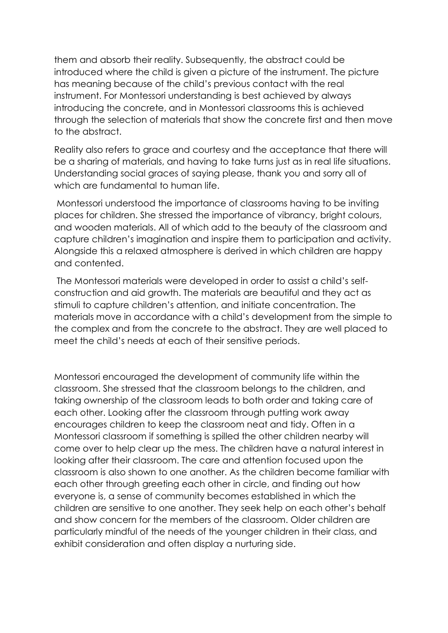them and absorb their reality. Subsequently, the abstract could be introduced where the child is given a picture of the instrument. The picture has meaning because of the child's previous contact with the real instrument. For Montessori understanding is best achieved by always introducing the concrete, and in Montessori classrooms this is achieved through the selection of materials that show the concrete first and then move to the abstract.

Reality also refers to grace and courtesy and the acceptance that there will be a sharing of materials, and having to take turns just as in real life situations. Understanding social graces of saying please, thank you and sorry all of which are fundamental to human life.

Montessori understood the importance of classrooms having to be inviting places for children. She stressed the importance of vibrancy, bright colours, and wooden materials. All of which add to the beauty of the classroom and capture children's imagination and inspire them to participation and activity. Alongside this a relaxed atmosphere is derived in which children are happy and contented.

The Montessori materials were developed in order to assist a child's selfconstruction and aid growth. The materials are beautiful and they act as stimuli to capture children's attention, and initiate concentration. The materials move in accordance with a child's development from the simple to the complex and from the concrete to the abstract. They are well placed to meet the child's needs at each of their sensitive periods.

Montessori encouraged the development of community life within the classroom. She stressed that the classroom belongs to the children, and taking ownership of the classroom leads to both order and taking care of each other. Looking after the classroom through putting work away encourages children to keep the classroom neat and tidy. Often in a Montessori classroom if something is spilled the other children nearby will come over to help clear up the mess. The children have a natural interest in looking after their classroom. The care and attention focused upon the classroom is also shown to one another. As the children become familiar with each other through greeting each other in circle, and finding out how everyone is, a sense of community becomes established in which the children are sensitive to one another. They seek help on each other's behalf and show concern for the members of the classroom. Older children are particularly mindful of the needs of the younger children in their class, and exhibit consideration and often display a nurturing side.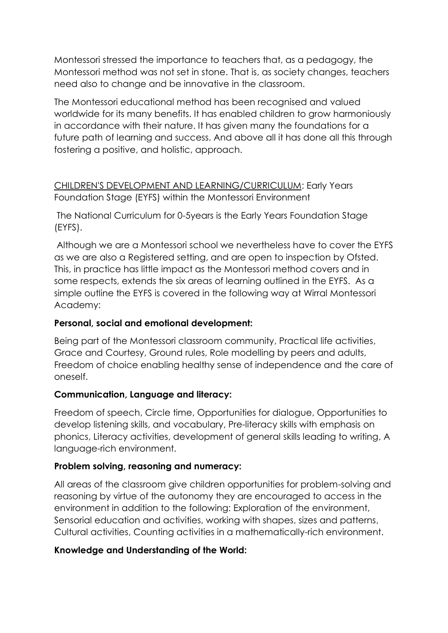Montessori stressed the importance to teachers that, as a pedagogy, the Montessori method was not set in stone. That is, as society changes, teachers need also to change and be innovative in the classroom.

The Montessori educational method has been recognised and valued worldwide for its many benefits. It has enabled children to grow harmoniously in accordance with their nature. It has given many the foundations for a future path of learning and success. And above all it has done all this through fostering a positive, and holistic, approach.

CHILDREN'S DEVELOPMENT AND LEARNING/CURRICULUM: Early Years Foundation Stage (EYFS) within the Montessori Environment

The National Curriculum for 0-5years is the Early Years Foundation Stage (EYFS).

Although we are a Montessori school we nevertheless have to cover the EYFS as we are also a Registered setting, and are open to inspection by Ofsted. This, in practice has little impact as the Montessori method covers and in some respects, extends the six areas of learning outlined in the EYFS. As a simple outline the EYFS is covered in the following way at Wirral Montessori Academy:

# **Personal, social and emotional development:**

Being part of the Montessori classroom community, Practical life activities, Grace and Courtesy, Ground rules, Role modelling by peers and adults, Freedom of choice enabling healthy sense of independence and the care of oneself.

#### **Communication, Language and literacy:**

Freedom of speech, Circle time, Opportunities for dialogue, Opportunities to develop listening skills, and vocabulary, Pre-literacy skills with emphasis on phonics, Literacy activities, development of general skills leading to writing, A language-rich environment.

#### **Problem solving, reasoning and numeracy:**

All areas of the classroom give children opportunities for problem-solving and reasoning by virtue of the autonomy they are encouraged to access in the environment in addition to the following: Exploration of the environment, Sensorial education and activities, working with shapes, sizes and patterns, Cultural activities, Counting activities in a mathematically-rich environment.

# **Knowledge and Understanding of the World:**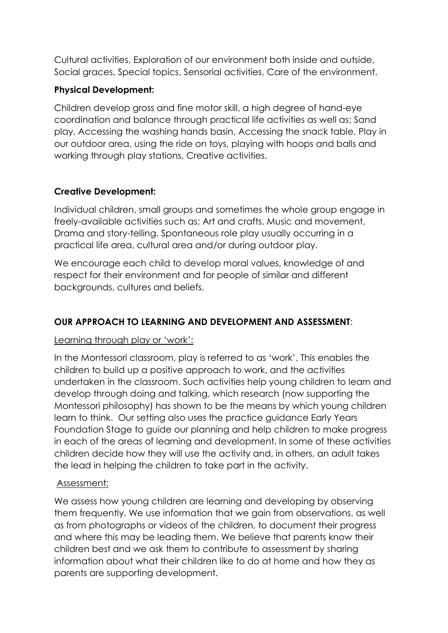Cultural activities, Exploration of our environment both inside and outside, Social graces, Special topics, Sensorial activities, Care of the environment.

#### **Physical Development:**

Children develop gross and fine motor skill, a high degree of hand-eye coordination and balance through practical life activities as well as; Sand play, Accessing the washing hands basin, Accessing the snack table, Play in our outdoor area, using the ride on toys, playing with hoops and balls and working through play stations, Creative activities.

# **Creative Development:**

Individual children, small groups and sometimes the whole group engage in freely-available activities such as; Art and crafts, Music and movement, Drama and story-telling, Spontaneous role play usually occurring in a practical life area, cultural area and/or during outdoor play.

We encourage each child to develop moral values, knowledge of and respect for their environment and for people of similar and different backgrounds, cultures and beliefs.

# **OUR APPROACH TO LEARNING AND DEVELOPMENT AND ASSESSMENT**:

#### Learning through play or 'work':

In the Montessori classroom, play is referred to as 'work'. This enables the children to build up a positive approach to work, and the activities undertaken in the classroom. Such activities help young children to learn and develop through doing and talking, which research (now supporting the Montessori philosophy) has shown to be the means by which young children learn to think. Our setting also uses the practice guidance Early Years Foundation Stage to guide our planning and help children to make progress in each of the areas of learning and development. In some of these activities children decide how they will use the activity and, in others, an adult takes the lead in helping the children to take part in the activity.

#### Assessment:

We assess how young children are learning and developing by observing them frequently. We use information that we gain from observations, as well as from photographs or videos of the children, to document their progress and where this may be leading them. We believe that parents know their children best and we ask them to contribute to assessment by sharing information about what their children like to do at home and how they as parents are supporting development.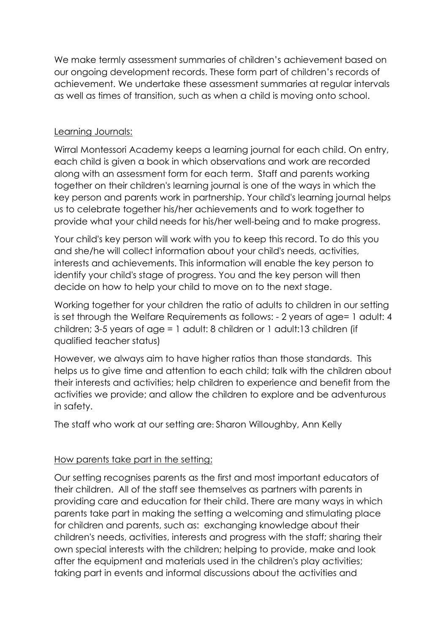We make termly assessment summaries of children's achievement based on our ongoing development records. These form part of children's records of achievement. We undertake these assessment summaries at regular intervals as well as times of transition, such as when a child is moving onto school.

#### Learning Journals:

Wirral Montessori Academy keeps a learning journal for each child. On entry, each child is given a book in which observations and work are recorded along with an assessment form for each term. Staff and parents working together on their children's learning journal is one of the ways in which the key person and parents work in partnership. Your child's learning journal helps us to celebrate together his/her achievements and to work together to provide what your child needs for his/her well-being and to make progress.

Your child's key person will work with you to keep this record. To do this you and she/he will collect information about your child's needs, activities, interests and achievements. This information will enable the key person to identify your child's stage of progress. You and the key person will then decide on how to help your child to move on to the next stage.

Working together for your children the ratio of adults to children in our setting is set through the Welfare Requirements as follows: - 2 years of age= 1 adult: 4 children; 3-5 years of age = 1 adult: 8 children or 1 adult:13 children (if qualified teacher status)

However, we always aim to have higher ratios than those standards. This helps us to give time and attention to each child; talk with the children about their interests and activities; help children to experience and benefit from the activities we provide; and allow the children to explore and be adventurous in safety.

The staff who work at our setting are: Sharon Willoughby, Ann Kelly

# How parents take part in the setting:

Our setting recognises parents as the first and most important educators of their children. All of the staff see themselves as partners with parents in providing care and education for their child. There are many ways in which parents take part in making the setting a welcoming and stimulating place for children and parents, such as: exchanging knowledge about their children's needs, activities, interests and progress with the staff; sharing their own special interests with the children; helping to provide, make and look after the equipment and materials used in the children's play activities; taking part in events and informal discussions about the activities and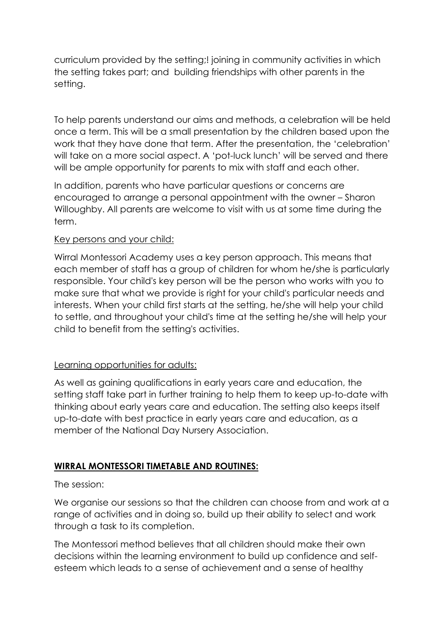curriculum provided by the setting;! joining in community activities in which the setting takes part; and building friendships with other parents in the setting.

To help parents understand our aims and methods, a celebration will be held once a term. This will be a small presentation by the children based upon the work that they have done that term. After the presentation, the 'celebration' will take on a more social aspect. A 'pot-luck lunch' will be served and there will be ample opportunity for parents to mix with staff and each other.

In addition, parents who have particular questions or concerns are encouraged to arrange a personal appointment with the owner – Sharon Willoughby. All parents are welcome to visit with us at some time during the term.

#### Key persons and your child:

Wirral Montessori Academy uses a key person approach. This means that each member of staff has a group of children for whom he/she is particularly responsible. Your child's key person will be the person who works with you to make sure that what we provide is right for your child's particular needs and interests. When your child first starts at the setting, he/she will help your child to settle, and throughout your child's time at the setting he/she will help your child to benefit from the setting's activities.

# Learning opportunities for adults:

As well as gaining qualifications in early years care and education, the setting staff take part in further training to help them to keep up-to-date with thinking about early years care and education. The setting also keeps itself up-to-date with best practice in early years care and education, as a member of the National Day Nursery Association.

# **WIRRAL MONTESSORI TIMETABLE AND ROUTINES:**

#### The session:

We organise our sessions so that the children can choose from and work at a range of activities and in doing so, build up their ability to select and work through a task to its completion.

The Montessori method believes that all children should make their own decisions within the learning environment to build up confidence and selfesteem which leads to a sense of achievement and a sense of healthy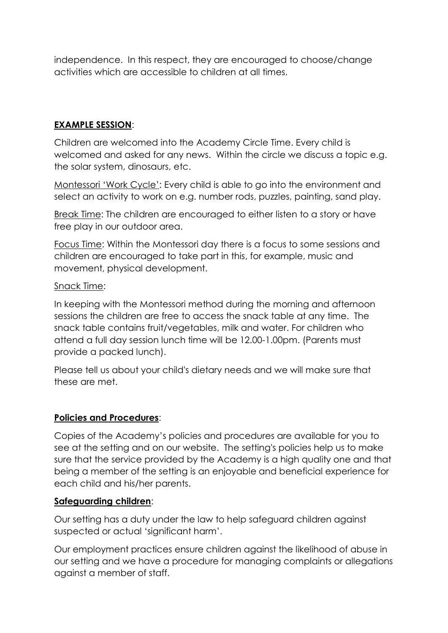independence. In this respect, they are encouraged to choose/change activities which are accessible to children at all times.

# **EXAMPLE SESSION**:

Children are welcomed into the Academy Circle Time. Every child is welcomed and asked for any news. Within the circle we discuss a topic e.g. the solar system, dinosaurs, etc.

Montessori 'Work Cycle': Every child is able to go into the environment and select an activity to work on e.g. number rods, puzzles, painting, sand play.

Break Time: The children are encouraged to either listen to a story or have free play in our outdoor area.

Focus Time: Within the Montessori day there is a focus to some sessions and children are encouraged to take part in this, for example, music and movement, physical development.

#### Snack Time:

In keeping with the Montessori method during the morning and afternoon sessions the children are free to access the snack table at any time. The snack table contains fruit/vegetables, milk and water. For children who attend a full day session lunch time will be 12.00-1.00pm. (Parents must provide a packed lunch).

Please tell us about your child's dietary needs and we will make sure that these are met.

#### **Policies and Procedures**:

Copies of the Academy's policies and procedures are available for you to see at the setting and on our website. The setting's policies help us to make sure that the service provided by the Academy is a high quality one and that being a member of the setting is an enjoyable and beneficial experience for each child and his/her parents.

#### **Safeguarding children**:

Our setting has a duty under the law to help safeguard children against suspected or actual 'significant harm'.

Our employment practices ensure children against the likelihood of abuse in our setting and we have a procedure for managing complaints or allegations against a member of staff.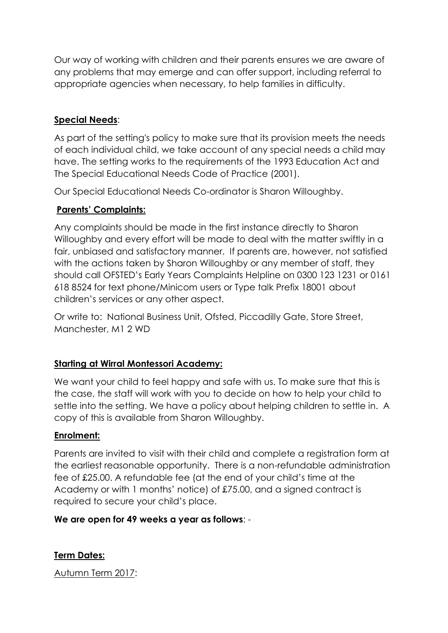Our way of working with children and their parents ensures we are aware of any problems that may emerge and can offer support, including referral to appropriate agencies when necessary, to help families in difficulty.

# **Special Needs**:

As part of the setting's policy to make sure that its provision meets the needs of each individual child, we take account of any special needs a child may have. The setting works to the requirements of the 1993 Education Act and The Special Educational Needs Code of Practice (2001).

Our Special Educational Needs Co-ordinator is Sharon Willoughby.

# **Parents' Complaints:**

Any complaints should be made in the first instance directly to Sharon Willoughby and every effort will be made to deal with the matter swiftly in a fair, unbiased and satisfactory manner. If parents are, however, not satisfied with the actions taken by Sharon Willoughby or any member of staff, they should call OFSTED's Early Years Complaints Helpline on 0300 123 1231 or 0161 618 8524 for text phone/Minicom users or Type talk Prefix 18001 about children's services or any other aspect.

Or write to: National Business Unit, Ofsted, Piccadilly Gate, Store Street, Manchester, M1 2 WD

# **Starting at Wirral Montessori Academy:**

We want your child to feel happy and safe with us. To make sure that this is the case, the staff will work with you to decide on how to help your child to settle into the setting. We have a policy about helping children to settle in. A copy of this is available from Sharon Willoughby.

# **Enrolment:**

Parents are invited to visit with their child and complete a registration form at the earliest reasonable opportunity. There is a non-refundable administration fee of £25.00. A refundable fee (at the end of your child's time at the Academy or with 1 months' notice) of £75.00, and a signed contract is required to secure your child's place.

# **We are open for 49 weeks a year as follows**: -

# **Term Dates:**

Autumn Term 2017: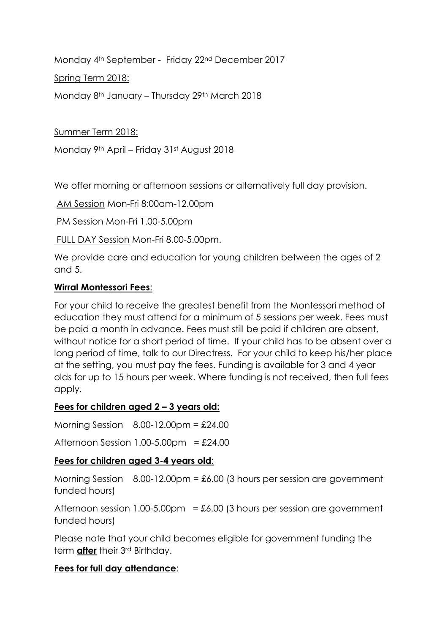Monday 4th September - Friday 22nd December 2017

Spring Term 2018:

Monday 8th January – Thursday 29th March 2018

Summer Term 2018:

Monday 9th April – Friday 31st August 2018

We offer morning or afternoon sessions or alternatively full day provision.

AM Session Mon-Fri 8:00am-12.00pm

PM Session Mon-Fri 1.00-5.00pm

FULL DAY Session Mon-Fri 8.00-5.00pm.

We provide care and education for young children between the ages of 2 and 5.

#### **Wirral Montessori Fees**:

For your child to receive the greatest benefit from the Montessori method of education they must attend for a minimum of 5 sessions per week. Fees must be paid a month in advance. Fees must still be paid if children are absent, without notice for a short period of time. If your child has to be absent over a long period of time, talk to our Directress. For your child to keep his/her place at the setting, you must pay the fees. Funding is available for 3 and 4 year olds for up to 15 hours per week. Where funding is not received, then full fees apply.

# **Fees for children aged 2 – 3 years old:**

Morning Session 8.00-12.00pm = £24.00

Afternoon Session 1.00-5.00pm =  $£24.00$ 

# **Fees for children aged 3-4 years old**:

Morning Session  $8.00-12.00 \text{pm} = £6.00$  (3 hours per session are government funded hours)

Afternoon session 1.00-5.00pm =  $\pounds6.00$  (3 hours per session are government funded hours)

Please note that your child becomes eligible for government funding the term **after** their 3rd Birthday.

#### **Fees for full day attendance**: